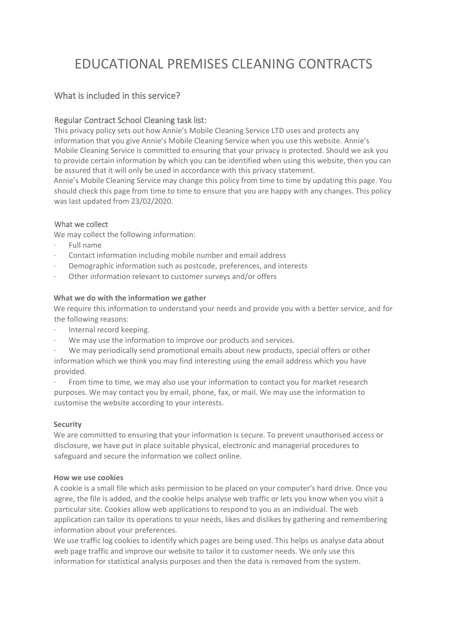# EDUCATIONAL PREMISES CLEANING CONTRACTS

# What is included in this service?

# Regular Contract School Cleaning task list:

This privacy policy sets out how Annie's Mobile Cleaning Service LTD uses and protects any information that you give Annie's Mobile Cleaning Service when you use this website. Annie's Mobile Cleaning Service is committed to ensuring that your privacy is protected. Should we ask you to provide certain information by which you can be identified when using this website, then you can be assured that it will only be used in accordance with this privacy statement.

Annie's Mobile Cleaning Service may change this policy from time to time by updating this page. You should check this page from time to time to ensure that you are happy with any changes. This policy was last updated from 23/02/2020.

## What we collect

We may collect the following information:

- · Full name
- · Contact information including mobile number and email address
- Demographic information such as postcode, preferences, and interests
- Other information relevant to customer surveys and/or offers

#### **What we do with the information we gather**

We require this information to understand your needs and provide you with a better service, and for the following reasons:

- · Internal record keeping.
- We may use the information to improve our products and services.

We may periodically send promotional emails about new products, special offers or other information which we think you may find interesting using the email address which you have provided.

From time to time, we may also use your information to contact you for market research purposes. We may contact you by email, phone, fax, or mail. We may use the information to customise the website according to your interests.

#### **Security**

We are committed to ensuring that your information is secure. To prevent unauthorised access or disclosure, we have put in place suitable physical, electronic and managerial procedures to safeguard and secure the information we collect online.

#### **How we use cookies**

A cookie is a small file which asks permission to be placed on your computer's hard drive. Once you agree, the file is added, and the cookie helps analyse web traffic or lets you know when you visit a particular site. Cookies allow web applications to respond to you as an individual. The web application can tailor its operations to your needs, likes and dislikes by gathering and remembering information about your preferences.

We use traffic log cookies to identify which pages are being used. This helps us analyse data about web page traffic and improve our website to tailor it to customer needs. We only use this information for statistical analysis purposes and then the data is removed from the system.